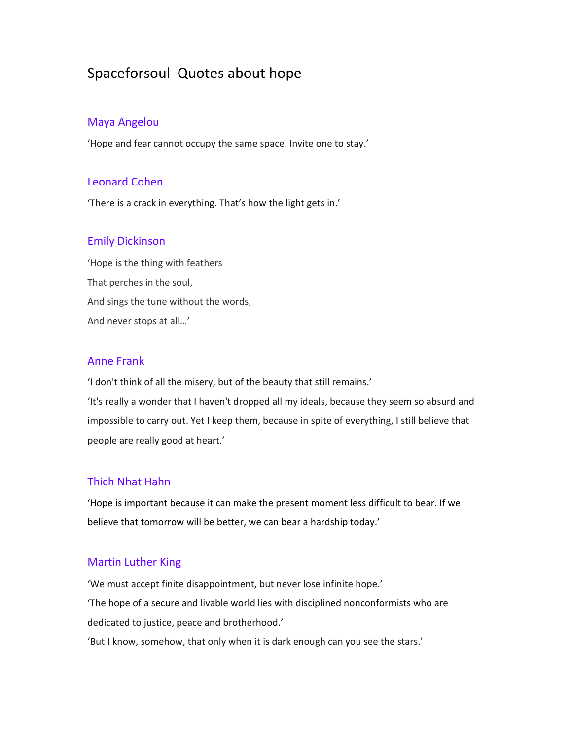# Spaceforsoul Quotes about hope

## Maya Angelou

'Hope and fear cannot occupy the same space. Invite one to stay.'

## Leonard Cohen

'There is a crack in everything. That's how the light gets in.'

## Emily Dickinson

'Hope is the thing with feathers That perches in the soul, And sings the tune without the words, And never stops at all…'

## Anne Frank

'I don't think of all the misery, but of the beauty that still remains.'

'It's really a wonder that I haven't dropped all my ideals, because they seem so absurd and impossible to carry out. Yet I keep them, because in spite of everything, I still believe that people are really good at heart.'

## Thich Nhat Hahn

'Hope is important because it can make the present moment less difficult to bear. If we believe that tomorrow will be better, we can bear a hardship today.'

## Martin Luther King

'We must accept finite disappointment, but never lose infinite hope.' 'The hope of a secure and livable world lies with disciplined nonconformists who are dedicated to justice, peace and brotherhood.'

'But I know, somehow, that only when it is dark enough can you see the stars.'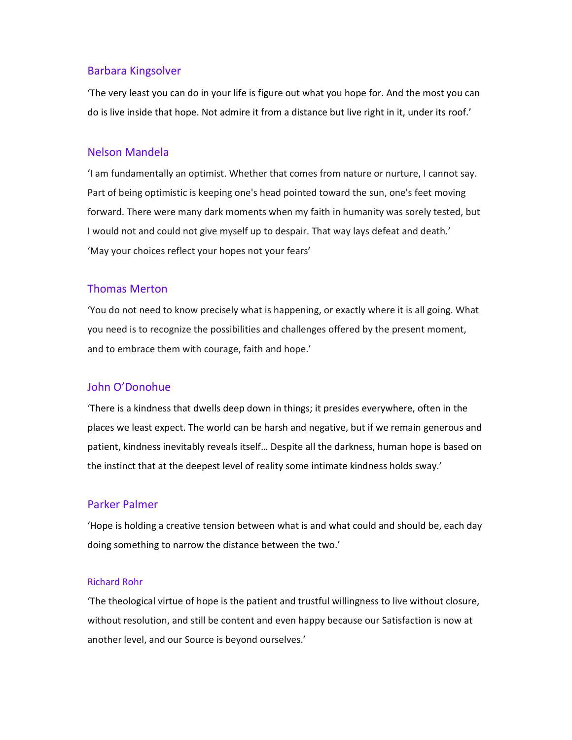## Barbara Kingsolver

'The very least you can do in your life is figure out what you hope for. And the most you can do is live inside that hope. Not admire it from a distance but live right in it, under its roof.'

#### Nelson Mandela

'I am fundamentally an optimist. Whether that comes from nature or nurture, I cannot say. Part of being optimistic is keeping one's head pointed toward the sun, one's feet moving forward. There were many dark moments when my faith in humanity was sorely tested, but I would not and could not give myself up to despair. That way lays defeat and death.' 'May your choices reflect your hopes not your fears'

#### Thomas Merton

'You do not need to know precisely what is happening, or exactly where it is all going. What you need is to recognize the possibilities and challenges offered by the present moment, and to embrace them with courage, faith and hope.'

#### John O'Donohue

'There is a kindness that dwells deep down in things; it presides everywhere, often in the places we least expect. The world can be harsh and negative, but if we remain generous and patient, kindness inevitably reveals itself… Despite all the darkness, human hope is based on the instinct that at the deepest level of reality some intimate kindness holds sway.'

### Parker Palmer

'Hope is holding a creative tension between what is and what could and should be, each day doing something to narrow the distance between the two.'

#### Richard Rohr

'The theological virtue of hope is the patient and trustful willingness to live without closure, without resolution, and still be content and even happy because our Satisfaction is now at another level, and our Source is beyond ourselves.'